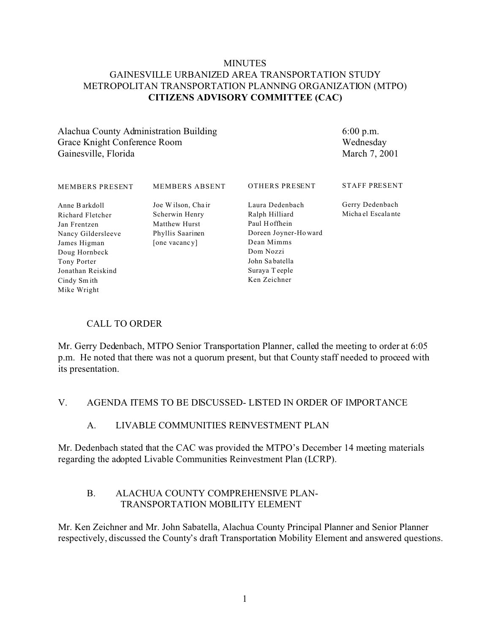#### **MINUTES** GAINESVILLE URBANIZED AREA TRANSPORTATION STUDY METROPOLITAN TRANSPORTATION PLANNING ORGANIZATION (MTPO) **CITIZENS ADVISORY COMMITTEE (CAC)**

Alachua County Administration Building Grace Knight Conference Room Gainesville, Florida

6:00 p.m. Wednesday March 7, 2001

| <b>MEMBERS PRESENT</b>                                                                                                                                       | <b>MEMBERS ABSENT</b>                                                                     | <b>OTHERS PRESENT</b>                                                                                                                                    | <b>STAFF PRESENT</b>                 |
|--------------------------------------------------------------------------------------------------------------------------------------------------------------|-------------------------------------------------------------------------------------------|----------------------------------------------------------------------------------------------------------------------------------------------------------|--------------------------------------|
| Anne Barkdoll<br>Richard Fletcher<br>Jan Frentzen<br>Nancy Gildersleeve<br>James Higman<br>Doug Hornbeck<br>Tony Porter<br>Jonathan Reiskind<br>Cindy Sm ith | Joe Wilson, Chair<br>Scherwin Henry<br>Matthew Hurst<br>Phyllis Saarinen<br>[one vacancy] | Laura Dedenbach<br>Ralph Hilliard<br>Paul Hoffhein<br>Doreen Joyner-Howard<br>Dean Mimms<br>Dom Nozzi<br>John Sabatella<br>Suraya Teeple<br>Ken Zeichner | Gerry Dedenbach<br>Michael Escalante |
| Mike Wright                                                                                                                                                  |                                                                                           |                                                                                                                                                          |                                      |

## CALL TO ORDER

Mr. Gerry Dedenbach, MTPO Senior Transportation Planner, called the meeting to order at 6:05 p.m. He noted that there was not a quorum present, but that County staff needed to proceed with its presentation.

#### V. AGENDA ITEMS TO BE DISCUSSED- LISTED IN ORDER OF IMPORTANCE

#### A. LIVABLE COMMUNITIES REINVESTMENT PLAN

Mr. Dedenbach stated that the CAC was provided the MTPO's December 14 meeting materials regarding the adopted Livable Communities Reinvestment Plan (LCRP).

#### B. ALACHUA COUNTY COMPREHENSIVE PLAN- TRANSPORTATION MOBILITY ELEMENT

Mr. Ken Zeichner and Mr. John Sabatella, Alachua County Principal Planner and Senior Planner respectively, discussed the County's draft Transportation Mobility Element and answered questions.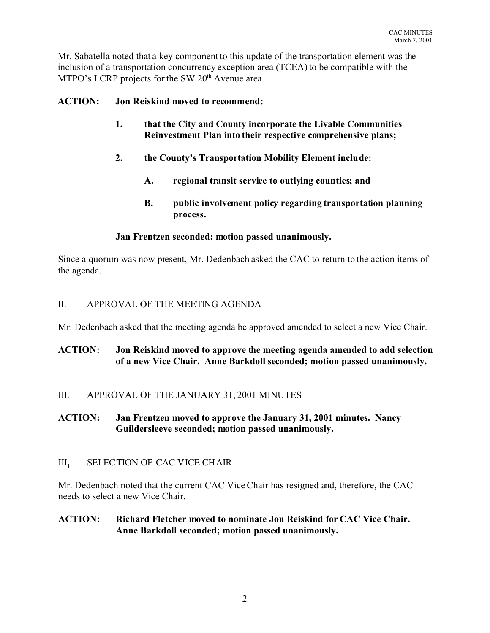Mr. Sabatella noted that a key component to this update of the transportation element was the inclusion of a transportation concurrency exception area (TCEA) to be compatible with the MTPO's LCRP projects for the SW 20<sup>th</sup> Avenue area.

# **ACTION: Jon Reiskind moved to recommend:**

- **1. that the City and County incorporate the Livable Communities Reinvestment Plan into their respective comprehensive plans;**
- **2. the County's Transportation Mobility Element include:**
	- **A. regional transit service to outlying counties; and**
	- **B. public involvement policy regarding transportation planning process.**

## **Jan Frentzen seconded; motion passed unanimously.**

Since a quorum was now present, Mr. Dedenbach asked the CAC to return to the action items of the agenda.

# II. APPROVAL OF THE MEETING AGENDA

Mr. Dedenbach asked that the meeting agenda be approved amended to select a new Vice Chair.

# **ACTION: Jon Reiskind moved to approve the meeting agenda amended to add selection of a new Vice Chair. Anne Barkdoll seconded; motion passed unanimously.**

## III. APPROVAL OF THE JANUARY 31, 2001 MINUTES

# **ACTION: Jan Frentzen moved to approve the January 31, 2001 minutes. Nancy Guildersleeve seconded; motion passed unanimously.**

#### $III<sub>1</sub>$ . . SELECTION OF CAC VICE CHAIR

Mr. Dedenbach noted that the current CAC Vice Chair has resigned and, therefore, the CAC needs to select a new Vice Chair.

## **ACTION: Richard Fletcher moved to nominate Jon Reiskind for CAC Vice Chair. Anne Barkdoll seconded; motion passed unanimously.**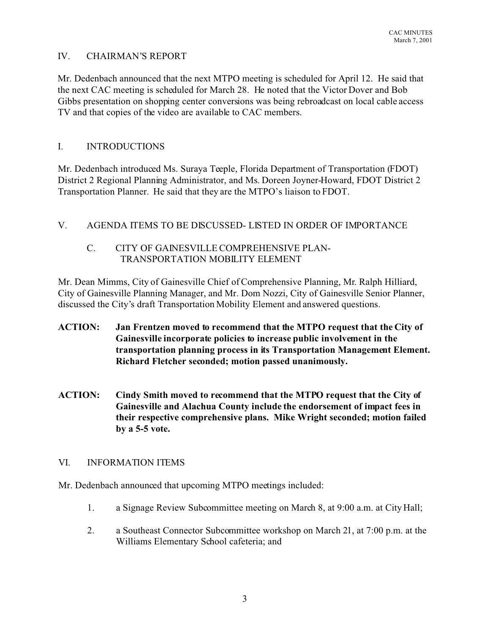#### IV. CHAIRMAN'S REPORT

Mr. Dedenbach announced that the next MTPO meeting is scheduled for April 12. He said that the next CAC meeting is scheduled for March 28. He noted that the Victor Dover and Bob Gibbs presentation on shopping center conversions was being rebroadcast on local cable access TV and that copies of the video are available to CAC members.

# I. INTRODUCTIONS

Mr. Dedenbach introduced Ms. Suraya Teeple, Florida Department of Transportation (FDOT) District 2 Regional Planning Administrator, and Ms. Doreen Joyner-Howard, FDOT District 2 Transportation Planner. He said that they are the MTPO's liaison to FDOT.

# V. AGENDA ITEMS TO BE DISCUSSED- LISTED IN ORDER OF IMPORTANCE

# C. CITY OF GAINESVILLE COMPREHENSIVE PLAN- TRANSPORTATION MOBILITY ELEMENT

Mr. Dean Mimms, City of Gainesville Chief of Comprehensive Planning, Mr. Ralph Hilliard, City of Gainesville Planning Manager, and Mr. Dom Nozzi, City of Gainesville Senior Planner, discussed the City's draft Transportation Mobility Element and answered questions.

- **ACTION: Jan Frentzen moved to recommend that the MTPO request that the City of Gainesville incorporate policies to increase public involvement in the transportation planning process in its Transportation Management Element. Richard Fletcher seconded; motion passed unanimously.**
- **ACTION: Cindy Smith moved to recommend that the MTPO request that the City of Gainesville and Alachua County include the endorsement of impact fees in their respective comprehensive plans. Mike Wright seconded; motion failed by a 5-5 vote.**

## VI. INFORMATION ITEMS

Mr. Dedenbach announced that upcoming MTPO meetings included:

- 1. a Signage Review Subcommittee meeting on March 8, at 9:00 a.m. at City Hall;
- 2. a Southeast Connector Subcommittee workshop on March 21, at 7:00 p.m. at the Williams Elementary School cafeteria; and